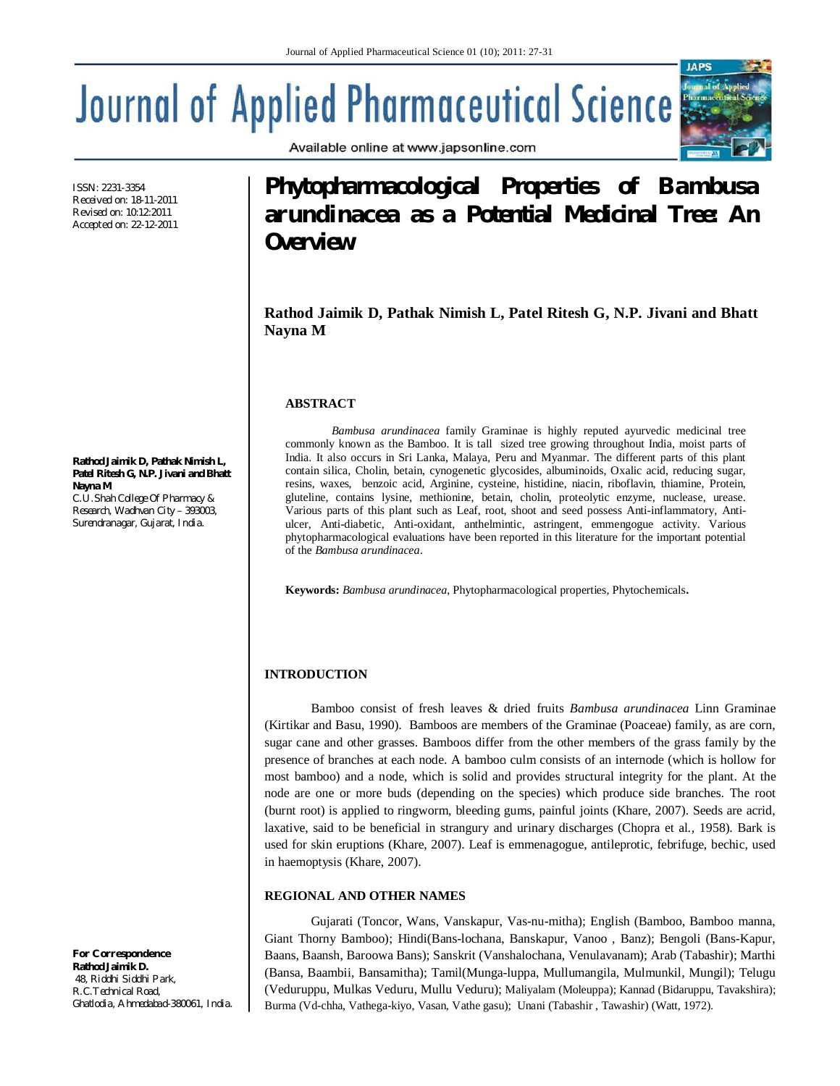Available online at www.japsonline.com

# **Journal of Applied Pharmaceutical Science**

ISSN: 2231-3354 Received on: 18-11-2011 Revised on: 10:12:2011 Accepted on: 22-12-2011

**Rathod Jaimik D, Pathak Nimish L, Patel Ritesh G, N.P. Jivani and Bhatt Nayna M**

*C.U.Shah College Of Pharmacy & Research, Wadhvan City – 393003, Surendranagar, Gujarat, India.*

**Phytopharmacological Properties of** *Bambusa arundinacea* **as a Potential Medicinal Tree: An Overview**

**Rathod Jaimik D, Pathak Nimish L, Patel Ritesh G, N.P. Jivani and Bhatt Nayna M**

# **ABSTRACT**

*Bambusa arundinacea* family Graminae is highly reputed ayurvedic medicinal tree commonly known as the Bamboo. It is tall sized tree growing throughout India, moist parts of India. It also occurs in Sri Lanka, Malaya, Peru and Myanmar. The different parts of this plant contain silica, Cholin, betain, cynogenetic glycosides, albuminoids, Oxalic acid, reducing sugar, resins, waxes, benzoic acid, Arginine, cysteine, histidine, niacin, riboflavin, thiamine, Protein, gluteline, contains lysine, methionine, betain, cholin, proteolytic enzyme, nuclease, urease. Various parts of this plant such as Leaf, root, shoot and seed possess Anti-inflammatory, Antiulcer, Anti-diabetic, Anti-oxidant, anthelmintic, astringent, emmengogue activity. Various phytopharmacological evaluations have been reported in this literature for the important potential of the *Bambusa arundinacea*.

**Keywords:** *Bambusa arundinacea*, Phytopharmacological properties, Phytochemicals**.**

# **INTRODUCTION**

Bamboo consist of fresh leaves & dried fruits *Bambusa arundinacea* Linn Graminae (Kirtikar and Basu, 1990). Bamboos are members of the Graminae (Poaceae) family, as are corn, sugar cane and other grasses. Bamboos differ from the other members of the grass family by the presence of branches at each node. A bamboo culm consists of an internode (which is hollow for most bamboo) and a node, which is solid and provides structural integrity for the plant. At the node are one or more buds (depending on the species) which produce side branches. The root (burnt root) is applied to ringworm, bleeding gums, painful joints (Khare, 2007). Seeds are acrid, laxative, said to be beneficial in strangury and urinary discharges (Chopra et al*.,* 1958). Bark is used for skin eruptions (Khare, 2007). Leaf is emmenagogue, antileprotic, febrifuge, bechic, used in haemoptysis (Khare, 2007).

## **REGIONAL AND OTHER NAMES**

Gujarati (Toncor, Wans, Vanskapur, Vas-nu-mitha); English (Bamboo, Bamboo manna, Giant Thorny Bamboo); Hindi(Bans-lochana, Banskapur, Vanoo , Banz); Bengoli (Bans-Kapur, Baans, Baansh, Baroowa Bans); Sanskrit (Vanshalochana, Venulavanam); Arab (Tabashir); Marthi (Bansa, Baambii, Bansamitha); Tamil(Munga-luppa, Mullumangila, Mulmunkil, Mungil); Telugu (Veduruppu, Mulkas Veduru, Mullu Veduru); Maliyalam (Moleuppa); Kannad (Bidaruppu, Tavakshira); Burma (Vd-chha, Vathega-kiyo, Vasan, Vathe gasu); Unani (Tabashir , Tawashir) (Watt, 1972).

*For Correspondence* **Rathod Jaimik D.** *48, Riddhi Siddhi Park, R.C.Technical Road, Ghatlodia, Ahmedabad-380061, India.*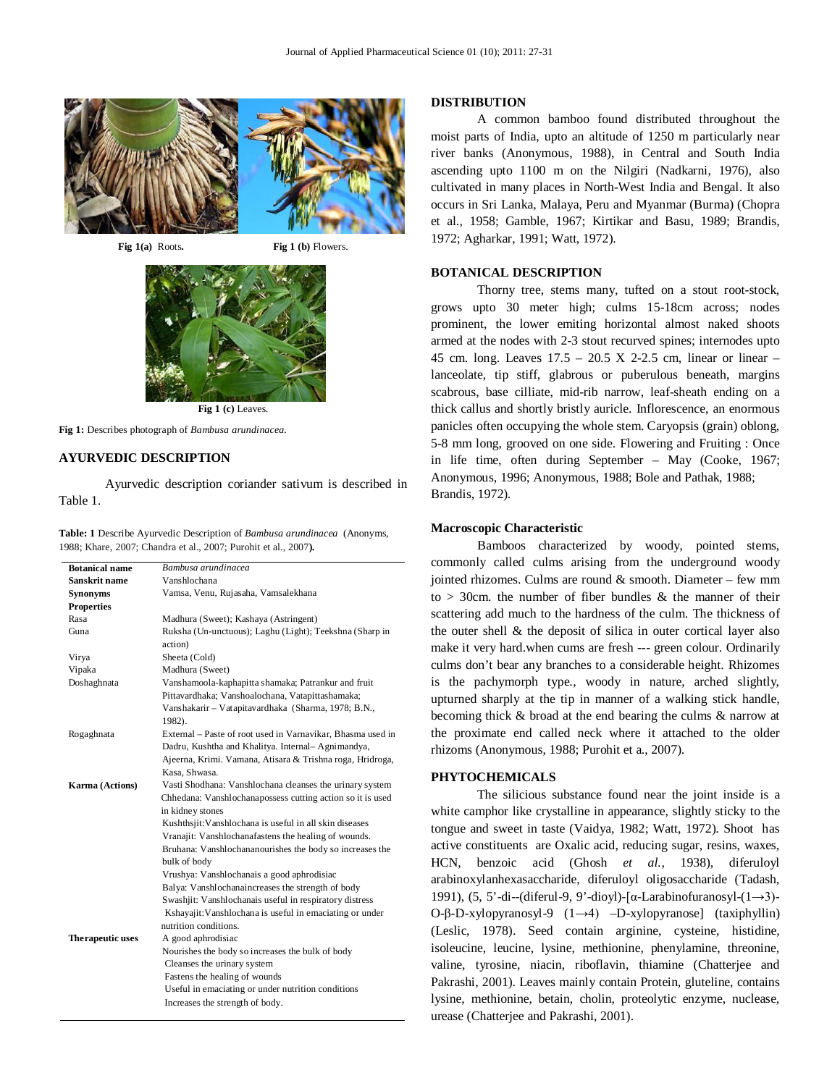

**Fig 1(a)** Roots. **Fig 1(b)** Flowers.



Fig 1 (c) Leaves.

**Fig 1:** Describes photograph of *Bambusa arundinacea*.

#### **AYURVEDIC DESCRIPTION**

Ayurvedic description coriander sativum is described in Table 1.

**Table: 1** Describe Ayurvedic Description of *Bambusa arundinacea* (Anonyms, 1988; Khare, 2007; Chandra et al., 2007; Purohit et al., 2007**).**

| <b>Botanical name</b>   | Bambusa arundinacea                                           |  |
|-------------------------|---------------------------------------------------------------|--|
| Sanskrit name           | Vanshlochana                                                  |  |
| <b>Synonyms</b>         | Vamsa, Venu, Rujasaha, Vamsalekhana                           |  |
| <b>Properties</b>       |                                                               |  |
| Rasa                    | Madhura (Sweet); Kashaya (Astringent)                         |  |
| Guna                    | Ruksha (Un-unctuous); Laghu (Light); Teekshna (Sharp in       |  |
|                         | action)                                                       |  |
| Virya                   | Sheeta (Cold)                                                 |  |
| Vipaka                  | Madhura (Sweet)                                               |  |
| Doshaghnata             | Vanshamoola-kaphapitta shamaka; Patrankur and fruit           |  |
|                         | Pittavardhaka; Vanshoalochana, Vatapittashamaka;              |  |
|                         | Vanshakarir - Vatapitavardhaka (Sharma, 1978; B.N.,<br>1982). |  |
| Rogaghnata              | External - Paste of root used in Varnavikar, Bhasma used in   |  |
|                         | Dadru, Kushtha and Khalitya. Internal-Agnimandya,             |  |
|                         | Ajeerna, Krimi. Vamana, Atisara & Trishna roga, Hridroga,     |  |
|                         | Kasa, Shwasa.                                                 |  |
| Karma (Actions)         | Vasti Shodhana: Vanshlochana cleanses the urinary system      |  |
|                         | Chhedana: Vanshlochanapossess cutting action so it is used    |  |
|                         | in kidney stones                                              |  |
|                         | Kushthsjit: Vanshlochana is useful in all skin diseases       |  |
|                         | Vranajit: Vanshlochanafastens the healing of wounds.          |  |
|                         | Bruhana: Vanshlochananourishes the body so increases the      |  |
|                         | bulk of body                                                  |  |
|                         | Vrushya: Vanshlochanais a good aphrodisiac                    |  |
|                         | Balya: Vanshlochanaincreases the strength of body             |  |
|                         | Swashjit: Vanshlochanais useful in respiratory distress       |  |
|                         | Kshayajit: Vanshlochana is useful in emaciating or under      |  |
|                         | nutrition conditions.                                         |  |
| <b>Therapeutic uses</b> | A good aphrodisiac                                            |  |
|                         | Nourishes the body so increases the bulk of body              |  |
|                         | Cleanses the urinary system                                   |  |
|                         | Fastens the healing of wounds                                 |  |
|                         | Useful in emaciating or under nutrition conditions            |  |
|                         | Increases the strength of body.                               |  |

## **DISTRIBUTION**

A common bamboo found distributed throughout the moist parts of India, upto an altitude of 1250 m particularly near river banks (Anonymous, 1988), in Central and South India ascending upto 1100 m on the Nilgiri (Nadkarni, 1976), also cultivated in many places in North-West India and Bengal. It also occurs in Sri Lanka, Malaya, Peru and Myanmar (Burma) (Chopra et al.*,* 1958; Gamble, 1967; Kirtikar and Basu, 1989; Brandis, 1972; Agharkar, 1991; Watt, 1972).

## **BOTANICAL DESCRIPTION**

Thorny tree, stems many, tufted on a stout root-stock, grows upto 30 meter high; culms 15-18cm across; nodes prominent, the lower emiting horizontal almost naked shoots armed at the nodes with 2-3 stout recurved spines; internodes upto 45 cm. long. Leaves  $17.5 - 20.5$  X 2-2.5 cm, linear or linear – lanceolate, tip stiff, glabrous or puberulous beneath, margins scabrous, base cilliate, mid-rib narrow, leaf-sheath ending on a thick callus and shortly bristly auricle. Inflorescence, an enormous panicles often occupying the whole stem. Caryopsis (grain) oblong, 5-8 mm long, grooved on one side. Flowering and Fruiting : Once in life time, often during September – May (Cooke, 1967; Anonymous, 1996; Anonymous, 1988; Bole and Pathak, 1988; Brandis, 1972).

## **Macroscopic Characteristic**

Bamboos characterized by woody, pointed stems, commonly called culms arising from the underground woody jointed rhizomes. Culms are round & smooth. Diameter – few mm to  $>$  30cm. the number of fiber bundles & the manner of their scattering add much to the hardness of the culm. The thickness of the outer shell & the deposit of silica in outer cortical layer also make it very hard.when cums are fresh --- green colour. Ordinarily culms don't bear any branches to a considerable height. Rhizomes is the pachymorph type., woody in nature, arched slightly, upturned sharply at the tip in manner of a walking stick handle, becoming thick & broad at the end bearing the culms & narrow at the proximate end called neck where it attached to the older rhizoms (Anonymous, 1988; Purohit et a., 2007).

## **PHYTOCHEMICALS**

The silicious substance found near the joint inside is a white camphor like crystalline in appearance, slightly sticky to the tongue and sweet in taste (Vaidya, 1982; Watt, 1972). Shoot has active constituents are Oxalic acid, reducing sugar, resins, waxes, HCN, benzoic acid (Ghosh *et al.,* 1938), diferuloyl arabinoxylanhexasaccharide, diferuloyl oligosaccharide (Tadash, 1991), (5, 5'-di--(diferul-9, 9'-dioyl)-[α-Larabinofuranosyl-(1→3)- O-β-D-xylopyranosyl-9 (1→4) –D-xylopyranose] (taxiphyllin) (Leslic, 1978). Seed contain arginine, cysteine, histidine, isoleucine, leucine, lysine, methionine, phenylamine, threonine, valine, tyrosine, niacin, riboflavin, thiamine (Chatterjee and Pakrashi, 2001). Leaves mainly contain Protein, gluteline, contains lysine, methionine, betain, cholin, proteolytic enzyme, nuclease, urease (Chatterjee and Pakrashi, 2001).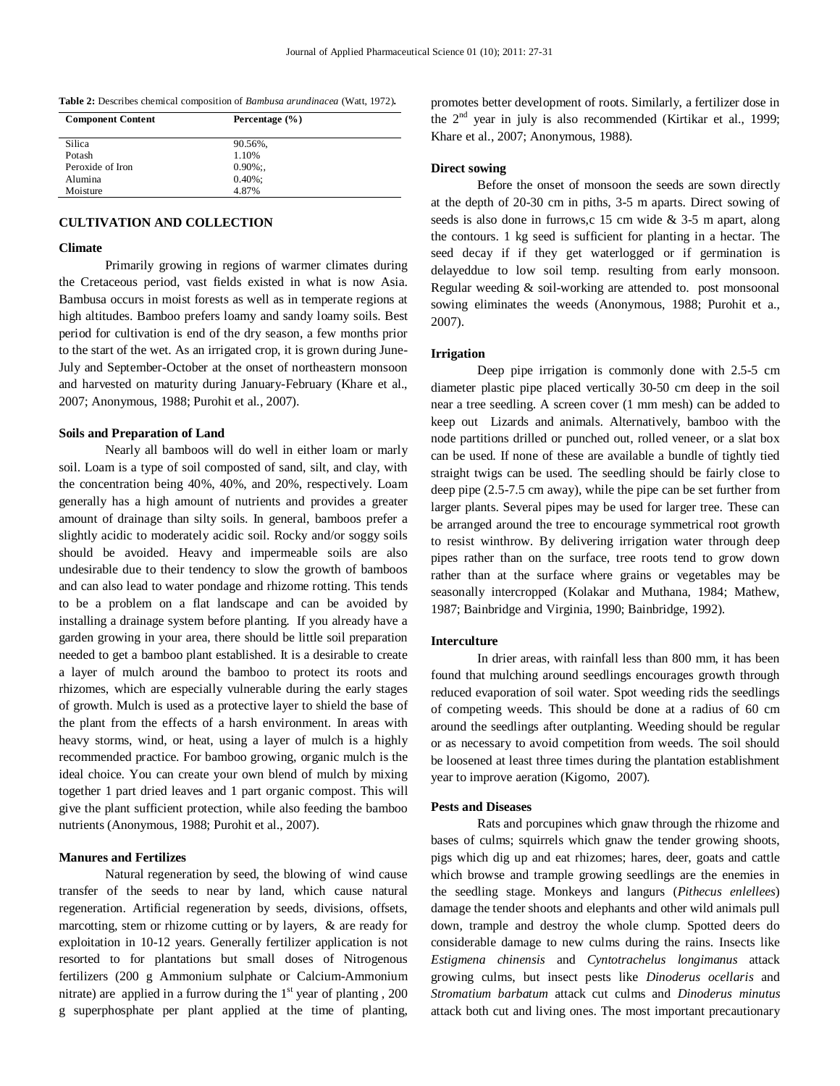**Table 2:** Describes chemical composition of *Bambusa arundinacea* (Watt, 1972)*.*

| <b>Component Content</b> | Percentage $(\% )$ |  |
|--------------------------|--------------------|--|
|                          |                    |  |
| Silica                   | 90.56%.            |  |
| Potash                   | 1.10%              |  |
| Peroxide of Iron         | $0.90\%$ :         |  |
| Alumina                  | $0.40\%$ :         |  |
| Moisture                 | 4.87%              |  |

# **CULTIVATION AND COLLECTION**

# **Climate**

Primarily growing in regions of warmer climates during the Cretaceous period, vast fields existed in what is now Asia. Bambusa occurs in moist forests as well as in temperate regions at high altitudes. Bamboo prefers loamy and sandy loamy soils. Best period for cultivation is end of the dry season, a few months prior to the start of the wet. As an irrigated crop, it is grown during June-July and September-October at the onset of northeastern monsoon and harvested on maturity during January-February (Khare et al., 2007; Anonymous, 1988; Purohit et al., 2007).

#### **Soils and Preparation of Land**

Nearly all bamboos will do well in either loam or marly soil. Loam is a type of soil composted of sand, silt, and clay, with the concentration being 40%, 40%, and 20%, respectively. Loam generally has a high amount of nutrients and provides a greater amount of drainage than silty soils. In general, bamboos prefer a slightly acidic to moderately acidic soil. Rocky and/or soggy soils should be avoided. Heavy and impermeable soils are also undesirable due to their tendency to slow the growth of bamboos and can also lead to water pondage and rhizome rotting. This tends to be a problem on a flat landscape and can be avoided by installing a drainage system before planting. If you already have a garden growing in your area, there should be little soil preparation needed to get a bamboo plant established. It is a desirable to create a layer of mulch around the bamboo to protect its roots and rhizomes, which are especially vulnerable during the early stages of growth. Mulch is used as a protective layer to shield the base of the plant from the effects of a harsh environment. In areas with heavy storms, wind, or heat, using a layer of mulch is a highly recommended practice. For bamboo growing, organic mulch is the ideal choice. You can create your own blend of mulch by mixing together 1 part dried leaves and 1 part organic compost. This will give the plant sufficient protection, while also feeding the bamboo nutrients (Anonymous, 1988; Purohit et al., 2007).

## **Manures and Fertilizes**

Natural regeneration by seed, the blowing of wind cause transfer of the seeds to near by land, which cause natural regeneration. Artificial regeneration by seeds, divisions, offsets, marcotting, stem or rhizome cutting or by layers, & are ready for exploitation in 10-12 years. Generally fertilizer application is not resorted to for plantations but small doses of Nitrogenous fertilizers (200 g Ammonium sulphate or Calcium-Ammonium nitrate) are applied in a furrow during the  $1<sup>st</sup>$  year of planting , 200 g superphosphate per plant applied at the time of planting,

promotes better development of roots. Similarly, a fertilizer dose in the  $2<sup>nd</sup>$  year in july is also recommended (Kirtikar et al., 1999; Khare et al., 2007; Anonymous, 1988).

#### **Direct sowing**

Before the onset of monsoon the seeds are sown directly at the depth of 20-30 cm in piths, 3-5 m aparts. Direct sowing of seeds is also done in furrows, c 15 cm wide & 3-5 m apart, along the contours. 1 kg seed is sufficient for planting in a hectar. The seed decay if if they get waterlogged or if germination is delayeddue to low soil temp. resulting from early monsoon. Regular weeding & soil-working are attended to. post monsoonal sowing eliminates the weeds (Anonymous, 1988; Purohit et a., 2007).

#### **Irrigation**

Deep pipe irrigation is commonly done with 2.5-5 cm diameter plastic pipe placed vertically 30-50 cm deep in the soil near a tree seedling. A screen cover (1 mm mesh) can be added to keep out Lizards and animals. Alternatively, bamboo with the node partitions drilled or punched out, rolled veneer, or a slat box can be used. If none of these are available a bundle of tightly tied straight twigs can be used. The seedling should be fairly close to deep pipe (2.5-7.5 cm away), while the pipe can be set further from larger plants. Several pipes may be used for larger tree. These can be arranged around the tree to encourage symmetrical root growth to resist winthrow. By delivering irrigation water through deep pipes rather than on the surface, tree roots tend to grow down rather than at the surface where grains or vegetables may be seasonally intercropped (Kolakar and Muthana, 1984; Mathew, 1987; Bainbridge and Virginia, 1990; Bainbridge, 1992).

#### **Interculture**

In drier areas, with rainfall less than 800 mm, it has been found that mulching around seedlings encourages growth through reduced evaporation of soil water. Spot weeding rids the seedlings of competing weeds. This should be done at a radius of 60 cm around the seedlings after outplanting. Weeding should be regular or as necessary to avoid competition from weeds. The soil should be loosened at least three times during the plantation establishment year to improve aeration (Kigomo, 2007).

## **Pests and Diseases**

Rats and porcupines which gnaw through the rhizome and bases of culms; squirrels which gnaw the tender growing shoots, pigs which dig up and eat rhizomes; hares, deer, goats and cattle which browse and trample growing seedlings are the enemies in the seedling stage. Monkeys and langurs (*Pithecus enlellees*) damage the tender shoots and elephants and other wild animals pull down, trample and destroy the whole clump. Spotted deers do considerable damage to new culms during the rains. Insects like *Estigmena chinensis* and *Cyntotrachelus longimanus* attack growing culms, but insect pests like *Dinoderus ocellaris* and *Stromatium barbatum* attack cut culms and *Dinoderus minutus* attack both cut and living ones. The most important precautionary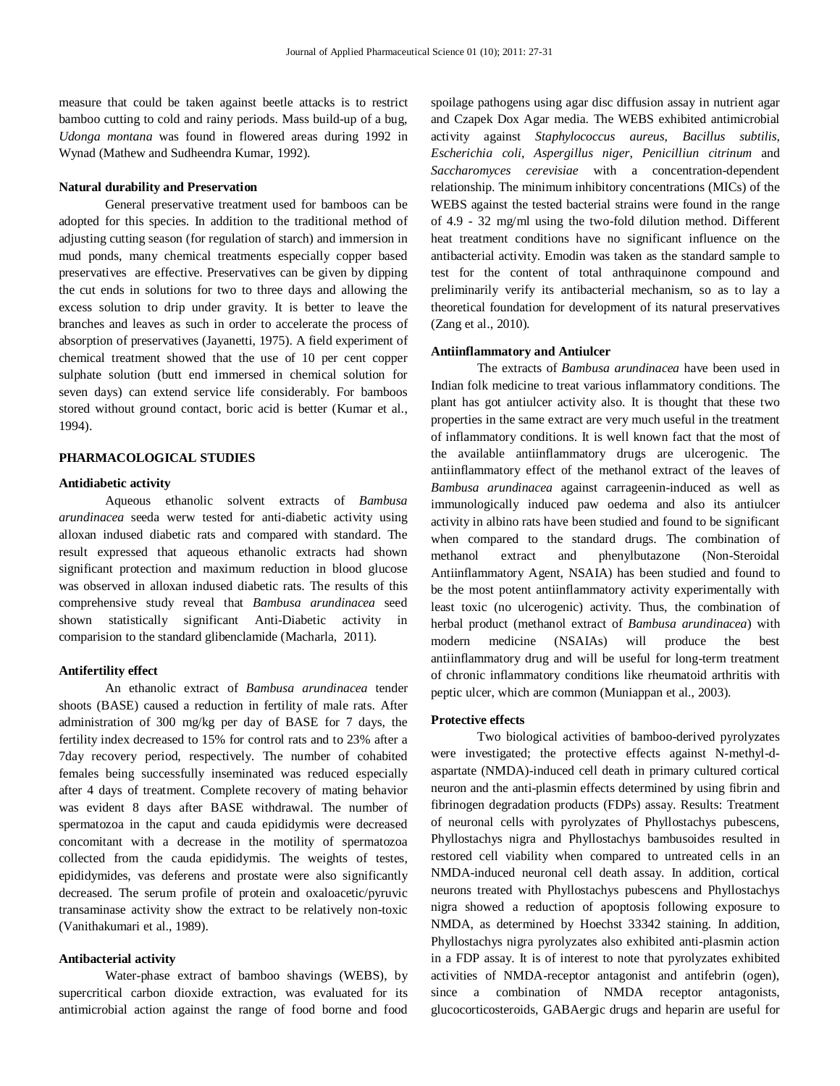measure that could be taken against beetle attacks is to restrict bamboo cutting to cold and rainy periods. Mass build-up of a bug, *Udonga montana* was found in flowered areas during 1992 in Wynad (Mathew and Sudheendra Kumar, 1992).

#### **Natural durability and Preservation**

General preservative treatment used for bamboos can be adopted for this species. In addition to the traditional method of adjusting cutting season (for regulation of starch) and immersion in mud ponds, many chemical treatments especially copper based preservatives are effective. Preservatives can be given by dipping the cut ends in solutions for two to three days and allowing the excess solution to drip under gravity. It is better to leave the branches and leaves as such in order to accelerate the process of absorption of preservatives (Jayanetti, 1975). A field experiment of chemical treatment showed that the use of 10 per cent copper sulphate solution (butt end immersed in chemical solution for seven days) can extend service life considerably. For bamboos stored without ground contact, boric acid is better (Kumar et al., 1994).

#### **PHARMACOLOGICAL STUDIES**

#### **Antidiabetic activity**

Aqueous ethanolic solvent extracts of *Bambusa arundinacea* seeda werw tested for anti-diabetic activity using alloxan indused diabetic rats and compared with standard. The result expressed that aqueous ethanolic extracts had shown significant protection and maximum reduction in blood glucose was observed in alloxan indused diabetic rats. The results of this comprehensive study reveal that *Bambusa arundinacea* seed shown statistically significant Anti-Diabetic activity in comparision to the standard glibenclamide (Macharla, 2011).

## **Antifertility effect**

An ethanolic extract of *Bambusa arundinacea* tender shoots (BASE) caused a reduction in fertility of male rats. After administration of 300 mg/kg per day of BASE for 7 days, the fertility index decreased to 15% for control rats and to 23% after a 7day recovery period, respectively. The number of cohabited females being successfully inseminated was reduced especially after 4 days of treatment. Complete recovery of mating behavior was evident 8 days after BASE withdrawal. The number of spermatozoa in the caput and cauda epididymis were decreased concomitant with a decrease in the motility of spermatozoa collected from the cauda epididymis. The weights of testes, epididymides, vas deferens and prostate were also significantly decreased. The serum profile of protein and oxaloacetic/pyruvic transaminase activity show the extract to be relatively non-toxic (Vanithakumari et al., 1989).

## **Antibacterial activity**

Water-phase extract of bamboo shavings (WEBS), by supercritical carbon dioxide extraction, was evaluated for its antimicrobial action against the range of food borne and food

spoilage pathogens using agar disc diffusion assay in nutrient agar and Czapek Dox Agar media. The WEBS exhibited antimicrobial activity against *Staphylococcus aureus*, *Bacillus subtilis*, *Escherichia coli*, *Aspergillus niger*, *Penicilliun citrinum* and *Saccharomyces cerevisiae* with a concentration-dependent relationship. The minimum inhibitory concentrations (MICs) of the WEBS against the tested bacterial strains were found in the range of 4.9 - 32 mg/ml using the two-fold dilution method. Different heat treatment conditions have no significant influence on the antibacterial activity. Emodin was taken as the standard sample to test for the content of total anthraquinone compound and preliminarily verify its antibacterial mechanism, so as to lay a theoretical foundation for development of its natural preservatives (Zang et al., 2010).

## **Antiinflammatory and Antiulcer**

The extracts of *Bambusa arundinacea* have been used in Indian folk medicine to treat various inflammatory conditions. The plant has got antiulcer activity also. It is thought that these two properties in the same extract are very much useful in the treatment of inflammatory conditions. It is well known fact that the most of the available antiinflammatory drugs are ulcerogenic. The antiinflammatory effect of the methanol extract of the leaves of *Bambusa arundinacea* against carrageenin-induced as well as immunologically induced paw oedema and also its antiulcer activity in albino rats have been studied and found to be significant when compared to the standard drugs. The combination of methanol extract and phenylbutazone (Non-Steroidal Antiinflammatory Agent, NSAIA) has been studied and found to be the most potent antiinflammatory activity experimentally with least toxic (no ulcerogenic) activity. Thus, the combination of herbal product (methanol extract of *Bambusa arundinacea*) with modern medicine (NSAIAs) will produce the best antiinflammatory drug and will be useful for long-term treatment of chronic inflammatory conditions like rheumatoid arthritis with peptic ulcer, which are common (Muniappan et al., 2003).

#### **Protective effects**

Two biological activities of bamboo-derived pyrolyzates were investigated; the protective effects against N-methyl-daspartate (NMDA)-induced cell death in primary cultured cortical neuron and the anti-plasmin effects determined by using fibrin and fibrinogen degradation products (FDPs) assay. Results: Treatment of neuronal cells with pyrolyzates of Phyllostachys pubescens, Phyllostachys nigra and Phyllostachys bambusoides resulted in restored cell viability when compared to untreated cells in an NMDA-induced neuronal cell death assay. In addition, cortical neurons treated with Phyllostachys pubescens and Phyllostachys nigra showed a reduction of apoptosis following exposure to NMDA, as determined by Hoechst 33342 staining. In addition, Phyllostachys nigra pyrolyzates also exhibited anti-plasmin action in a FDP assay. It is of interest to note that pyrolyzates exhibited activities of NMDA-receptor antagonist and antifebrin (ogen), since a combination of NMDA receptor antagonists, glucocorticosteroids, GABAergic drugs and heparin are useful for